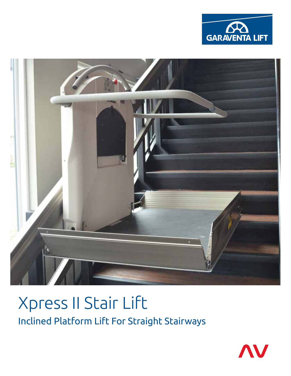



# Xpress II Stair Lift Inclined Platform Lift For Straight Stairways

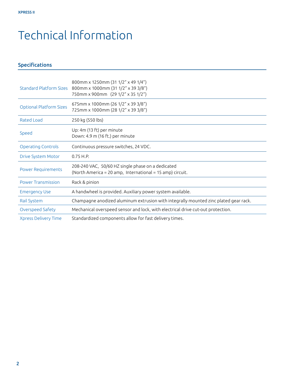## Technical Information

### Specifications

| <b>Standard Platform Sizes</b> | 800mm x 1250mm (31 1/2" x 49 1/4")<br>800mm x 1000mm (31 1/2" x 39 3/8")<br>750mm x 900mm (29 1/2" x 35 1/2")  |
|--------------------------------|----------------------------------------------------------------------------------------------------------------|
| <b>Optional Platform Sizes</b> | 675mm x 1000mm (26 1/2" x 39 3/8")<br>725mm x 1000mm (28 1/2" x 39 3/8")                                       |
| Rated Load                     | 250 kg (550 lbs)                                                                                               |
| Speed                          | Up: 4m (13 ft) per minute<br>Down: 4.9 m (16 ft.) per minute                                                   |
| <b>Operating Controls</b>      | Continuous pressure switches, 24 VDC.                                                                          |
| <b>Drive System Motor</b>      | $0.75$ H.P.                                                                                                    |
| <b>Power Requirements</b>      | 208-240 VAC, 50/60 HZ single phase on a dedicated<br>(North America = 20 amp, International = 15 amp) circuit. |
| <b>Power Transmission</b>      | Rack & pinion                                                                                                  |
| <b>Emergency Use</b>           | A handwheel is provided. Auxiliary power system available.                                                     |
| Rail System                    | Champagne anodized aluminum extrusion with integrally mounted zinc plated gear rack.                           |
| Overspeed Safety               | Mechanical overspeed sensor and lock, with electrical drive cut-out protection.                                |
| <b>Xpress Delivery Time</b>    | Standardized components allow for fast delivery times.                                                         |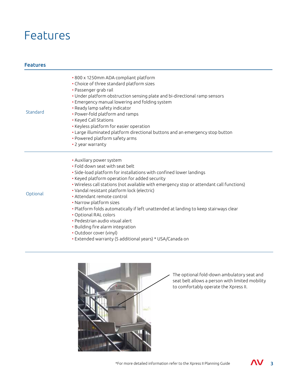### Features

### Features

| Standard | · 800 x 1250mm ADA compliant platform<br>• Choice of three standard platform sizes<br>• Passenger grab rail<br>. Under platform obstruction sensing plate and bi-directional ramp sensors<br>• Emergency manual lowering and folding system<br>• Ready lamp safety indicator<br>• Power-fold platform and ramps<br>• Keyed Call Stations<br>• Keyless platform for easier operation<br>• Large illuminated platform directional buttons and an emergency stop button<br>• Powered platform safety arms<br>• 2 year warranty                                                                                                                                             |
|----------|-------------------------------------------------------------------------------------------------------------------------------------------------------------------------------------------------------------------------------------------------------------------------------------------------------------------------------------------------------------------------------------------------------------------------------------------------------------------------------------------------------------------------------------------------------------------------------------------------------------------------------------------------------------------------|
| Optional | • Auxiliary power system<br>. Fold down seat with seat belt<br>· Side-load platform for installations with confined lower landings<br>• Keyed platform operation for added security<br>. Wireless call stations (not available with emergency stop or attendant call functions)<br>• Vandal resistant platform lock (electric)<br>• Attendant remote control<br>• Narrow platform sizes<br>• Platform folds automatically if left unattended at landing to keep stairways clear<br>• Optional RAL colors<br>• Pedestrian audio visual alert<br>• Building fire alarm integration<br>• Outdoor cover (vinyl)<br>• Extended warranty (5 additional years) * USA/Canada on |



The optional fold-down ambulatory seat and seat belt allows a person with limited mobility to comfortably operate the Xpress II.